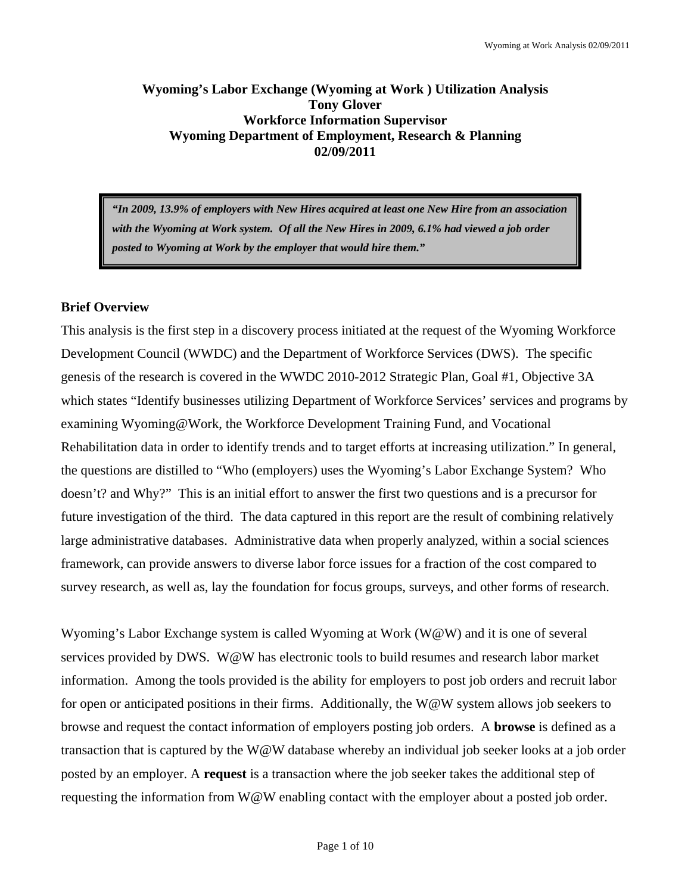## **Wyoming's Labor Exchange (Wyoming at Work ) Utilization Analysis Tony Glover Workforce Information Supervisor Wyoming Department of Employment, Research & Planning 02/09/2011**

*"In 2009, 13.9% of employers with New Hires acquired at least one New Hire from an association with the Wyoming at Work system. Of all the New Hires in 2009, 6.1% had viewed a job order posted to Wyoming at Work by the employer that would hire them."* 

## **Brief Overview**

This analysis is the first step in a discovery process initiated at the request of the Wyoming Workforce Development Council (WWDC) and the Department of Workforce Services (DWS). The specific genesis of the research is covered in the WWDC 2010-2012 Strategic Plan, Goal #1, Objective 3A which states "Identify businesses utilizing Department of Workforce Services' services and programs by examining Wyoming@Work, the Workforce Development Training Fund, and Vocational Rehabilitation data in order to identify trends and to target efforts at increasing utilization." In general, the questions are distilled to "Who (employers) uses the Wyoming's Labor Exchange System? Who doesn't? and Why?" This is an initial effort to answer the first two questions and is a precursor for future investigation of the third. The data captured in this report are the result of combining relatively large administrative databases. Administrative data when properly analyzed, within a social sciences framework, can provide answers to diverse labor force issues for a fraction of the cost compared to survey research, as well as, lay the foundation for focus groups, surveys, and other forms of research.

Wyoming's Labor Exchange system is called Wyoming at Work (W@W) and it is one of several services provided by DWS. W@W has electronic tools to build resumes and research labor market information. Among the tools provided is the ability for employers to post job orders and recruit labor for open or anticipated positions in their firms. Additionally, the W@W system allows job seekers to browse and request the contact information of employers posting job orders. A **browse** is defined as a transaction that is captured by the W@W database whereby an individual job seeker looks at a job order posted by an employer. A **request** is a transaction where the job seeker takes the additional step of requesting the information from W@W enabling contact with the employer about a posted job order.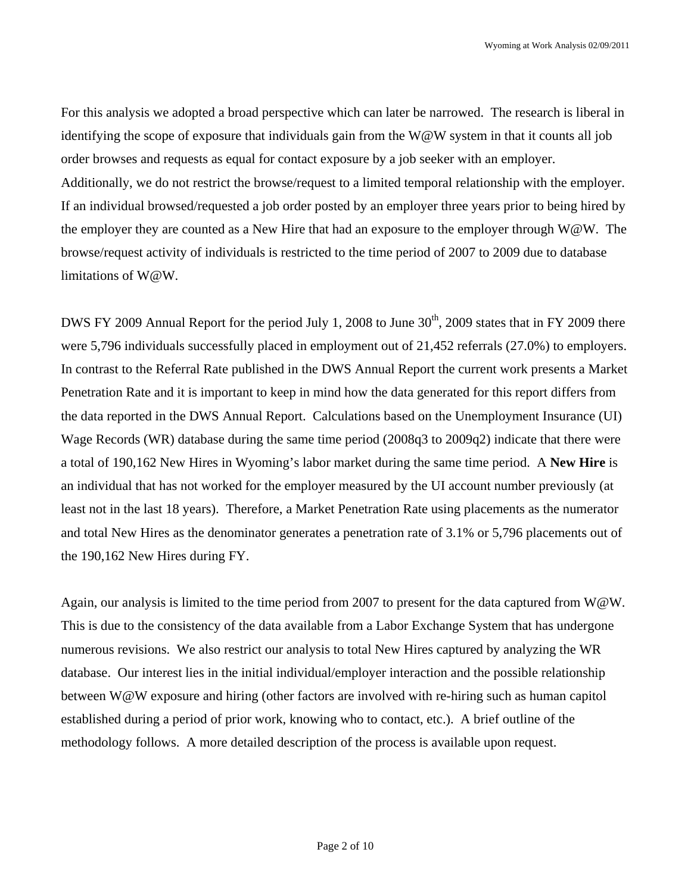For this analysis we adopted a broad perspective which can later be narrowed. The research is liberal in identifying the scope of exposure that individuals gain from the W@W system in that it counts all job order browses and requests as equal for contact exposure by a job seeker with an employer. Additionally, we do not restrict the browse/request to a limited temporal relationship with the employer. If an individual browsed/requested a job order posted by an employer three years prior to being hired by the employer they are counted as a New Hire that had an exposure to the employer through W@W. The browse/request activity of individuals is restricted to the time period of 2007 to 2009 due to database limitations of W@W.

DWS FY 2009 Annual Report for the period July 1, 2008 to June 30<sup>th</sup>, 2009 states that in FY 2009 there were 5,796 individuals successfully placed in employment out of 21,452 referrals (27.0%) to employers. In contrast to the Referral Rate published in the DWS Annual Report the current work presents a Market Penetration Rate and it is important to keep in mind how the data generated for this report differs from the data reported in the DWS Annual Report. Calculations based on the Unemployment Insurance (UI) Wage Records (WR) database during the same time period (2008q3 to 2009q2) indicate that there were a total of 190,162 New Hires in Wyoming's labor market during the same time period. A **New Hire** is an individual that has not worked for the employer measured by the UI account number previously (at least not in the last 18 years). Therefore, a Market Penetration Rate using placements as the numerator and total New Hires as the denominator generates a penetration rate of 3.1% or 5,796 placements out of the 190,162 New Hires during FY.

Again, our analysis is limited to the time period from 2007 to present for the data captured from  $W@W$ . This is due to the consistency of the data available from a Labor Exchange System that has undergone numerous revisions. We also restrict our analysis to total New Hires captured by analyzing the WR database. Our interest lies in the initial individual/employer interaction and the possible relationship between W@W exposure and hiring (other factors are involved with re-hiring such as human capitol established during a period of prior work, knowing who to contact, etc.). A brief outline of the methodology follows. A more detailed description of the process is available upon request.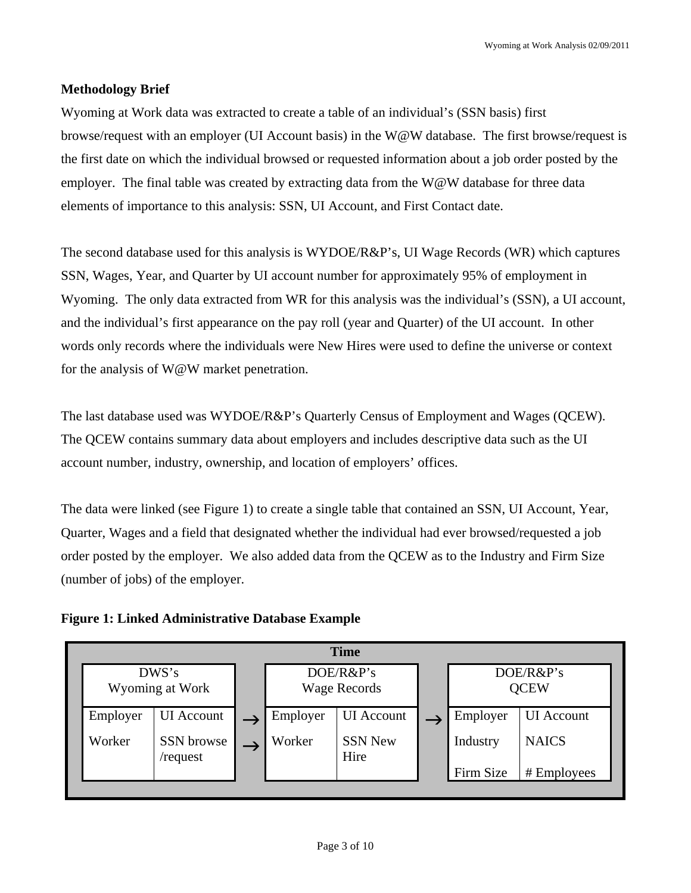# **Methodology Brief**

Wyoming at Work data was extracted to create a table of an individual's (SSN basis) first browse/request with an employer (UI Account basis) in the W@W database. The first browse/request is the first date on which the individual browsed or requested information about a job order posted by the employer. The final table was created by extracting data from the W@W database for three data elements of importance to this analysis: SSN, UI Account, and First Contact date.

The second database used for this analysis is WYDOE/R&P's, UI Wage Records (WR) which captures SSN, Wages, Year, and Quarter by UI account number for approximately 95% of employment in Wyoming. The only data extracted from WR for this analysis was the individual's (SSN), a UI account, and the individual's first appearance on the pay roll (year and Quarter) of the UI account. In other words only records where the individuals were New Hires were used to define the universe or context for the analysis of W@W market penetration.

The last database used was WYDOE/R&P's Quarterly Census of Employment and Wages (QCEW). The QCEW contains summary data about employers and includes descriptive data such as the UI account number, industry, ownership, and location of employers' offices.

The data were linked (see Figure 1) to create a single table that contained an SSN, UI Account, Year, Quarter, Wages and a field that designated whether the individual had ever browsed/requested a job order posted by the employer. We also added data from the QCEW as to the Industry and Firm Size (number of jobs) of the employer.

**Figure 1: Linked Administrative Database Example** 

| DWS's<br>DOE/R&P's<br>DOE/R&P's<br>Wyoming at Work<br><b>QCEW</b><br>Wage Records                | <b>Time</b> |                   |  |  |  |  |  |  |  |  |
|--------------------------------------------------------------------------------------------------|-------------|-------------------|--|--|--|--|--|--|--|--|
|                                                                                                  |             |                   |  |  |  |  |  |  |  |  |
| <b>UI</b> Account<br>Employer<br><b>UI</b> Account<br>Employer<br>Employer                       |             | <b>UI</b> Account |  |  |  |  |  |  |  |  |
| <b>SSN New</b><br>Worker<br>Worker<br><b>NAICS</b><br>SSN browse<br>Industry<br>Hire<br>/request |             |                   |  |  |  |  |  |  |  |  |
| Firm Size                                                                                        |             | # Employees       |  |  |  |  |  |  |  |  |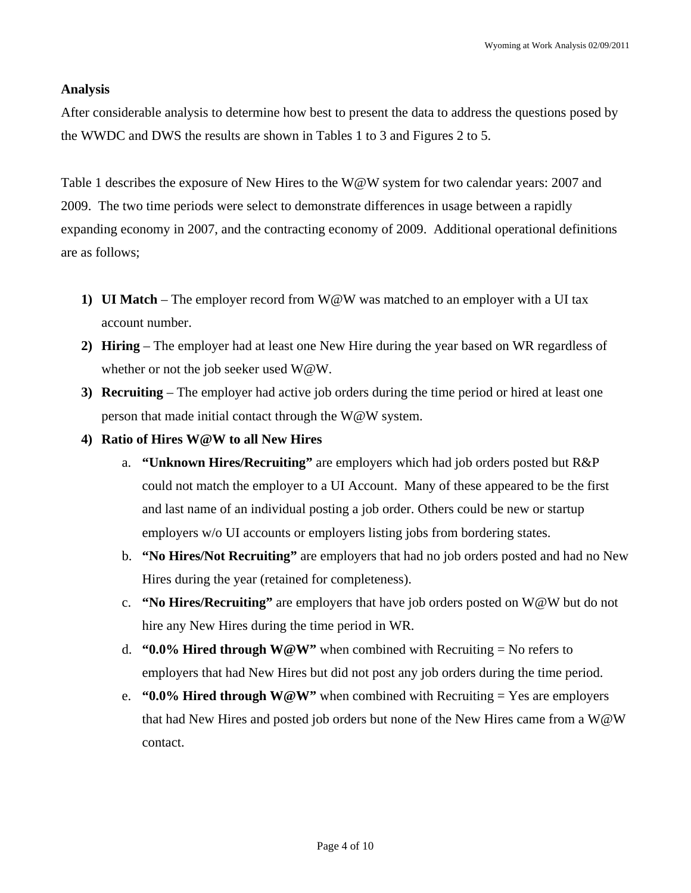#### **Analysis**

After considerable analysis to determine how best to present the data to address the questions posed by the WWDC and DWS the results are shown in Tables 1 to 3 and Figures 2 to 5.

Table 1 describes the exposure of New Hires to the W@W system for two calendar years: 2007 and 2009. The two time periods were select to demonstrate differences in usage between a rapidly expanding economy in 2007, and the contracting economy of 2009. Additional operational definitions are as follows;

- **1) UI Match** The employer record from W@W was matched to an employer with a UI tax account number.
- **2) Hiring** The employer had at least one New Hire during the year based on WR regardless of whether or not the job seeker used W@W.
- **3) Recruiting** The employer had active job orders during the time period or hired at least one person that made initial contact through the W@W system.
- **4) Ratio of Hires W@W to all New Hires** 
	- a. **"Unknown Hires/Recruiting"** are employers which had job orders posted but R&P could not match the employer to a UI Account. Many of these appeared to be the first and last name of an individual posting a job order. Others could be new or startup employers w/o UI accounts or employers listing jobs from bordering states.
	- b. **"No Hires/Not Recruiting"** are employers that had no job orders posted and had no New Hires during the year (retained for completeness).
	- c. **"No Hires/Recruiting"** are employers that have job orders posted on W@W but do not hire any New Hires during the time period in WR.
	- d. **"0.0% Hired through W@W"** when combined with Recruiting = No refers to employers that had New Hires but did not post any job orders during the time period.
	- e. **"0.0% Hired through W@W"** when combined with Recruiting = Yes are employers that had New Hires and posted job orders but none of the New Hires came from a W@W contact.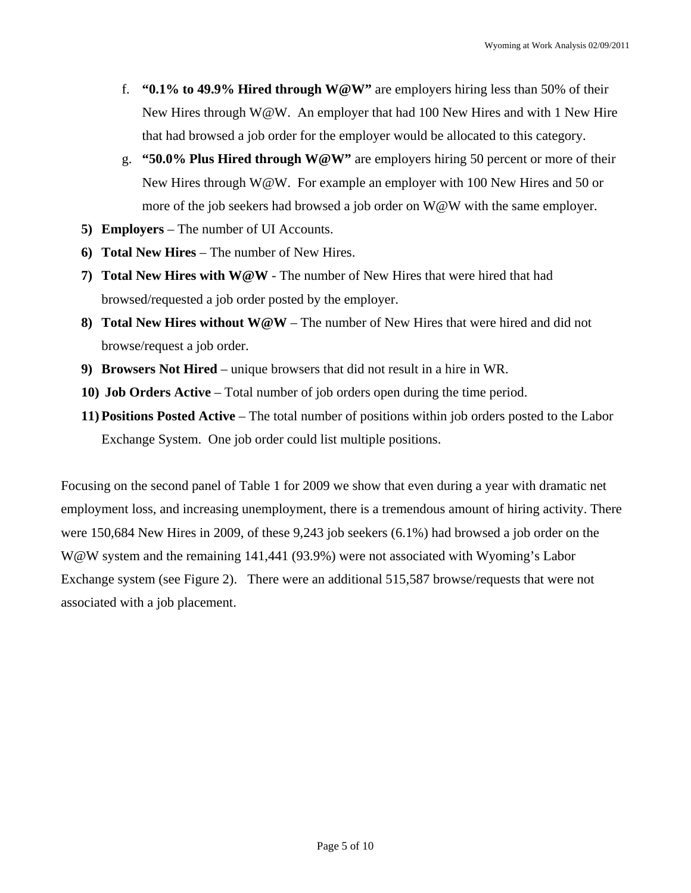- f. **"0.1% to 49.9% Hired through W@W"** are employers hiring less than 50% of their New Hires through  $W@W$ . An employer that had 100 New Hires and with 1 New Hire that had browsed a job order for the employer would be allocated to this category.
- g. **"50.0% Plus Hired through W@W"** are employers hiring 50 percent or more of their New Hires through W@W. For example an employer with 100 New Hires and 50 or more of the job seekers had browsed a job order on W@W with the same employer.
- **5) Employers** The number of UI Accounts.
- **6) Total New Hires** The number of New Hires.
- **7) Total New Hires with W@W** The number of New Hires that were hired that had browsed/requested a job order posted by the employer.
- **8) Total New Hires without W@W** The number of New Hires that were hired and did not browse/request a job order.
- **9) Browsers Not Hired** unique browsers that did not result in a hire in WR.
- **10) Job Orders Active** Total number of job orders open during the time period.
- **11) Positions Posted Active** The total number of positions within job orders posted to the Labor Exchange System. One job order could list multiple positions.

Focusing on the second panel of Table 1 for 2009 we show that even during a year with dramatic net employment loss, and increasing unemployment, there is a tremendous amount of hiring activity. There were 150,684 New Hires in 2009, of these 9,243 job seekers (6.1%) had browsed a job order on the W@W system and the remaining 141,441 (93.9%) were not associated with Wyoming's Labor Exchange system (see Figure 2). There were an additional 515,587 browse/requests that were not associated with a job placement.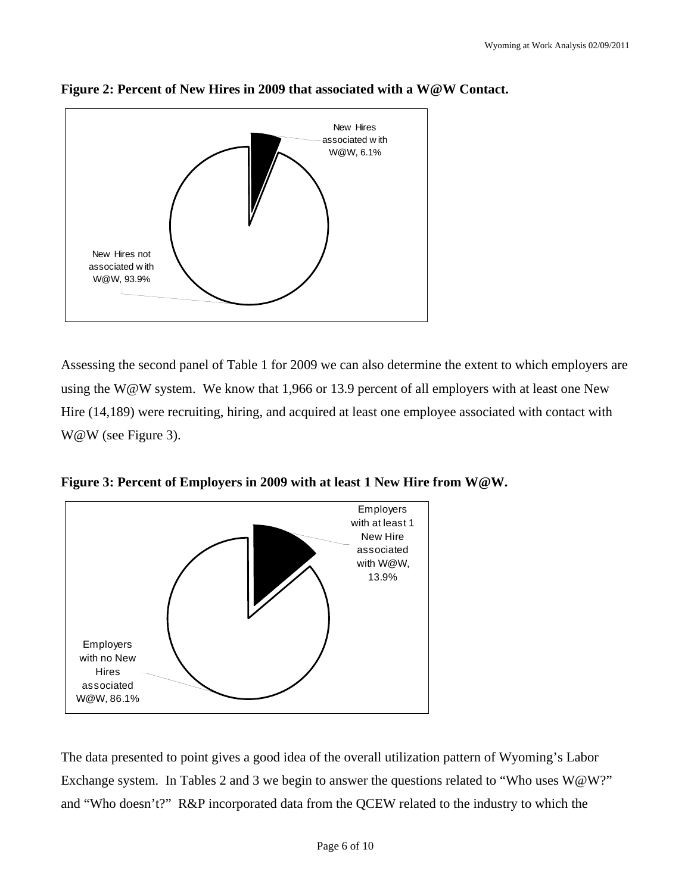



Assessing the second panel of Table 1 for 2009 we can also determine the extent to which employers are using the W@W system. We know that 1,966 or 13.9 percent of all employers with at least one New Hire (14,189) were recruiting, hiring, and acquired at least one employee associated with contact with W@W (see Figure 3).



**Figure 3: Percent of Employers in 2009 with at least 1 New Hire from W@W.** 

The data presented to point gives a good idea of the overall utilization pattern of Wyoming's Labor Exchange system. In Tables 2 and 3 we begin to answer the questions related to "Who uses W@W?" and "Who doesn't?" R&P incorporated data from the QCEW related to the industry to which the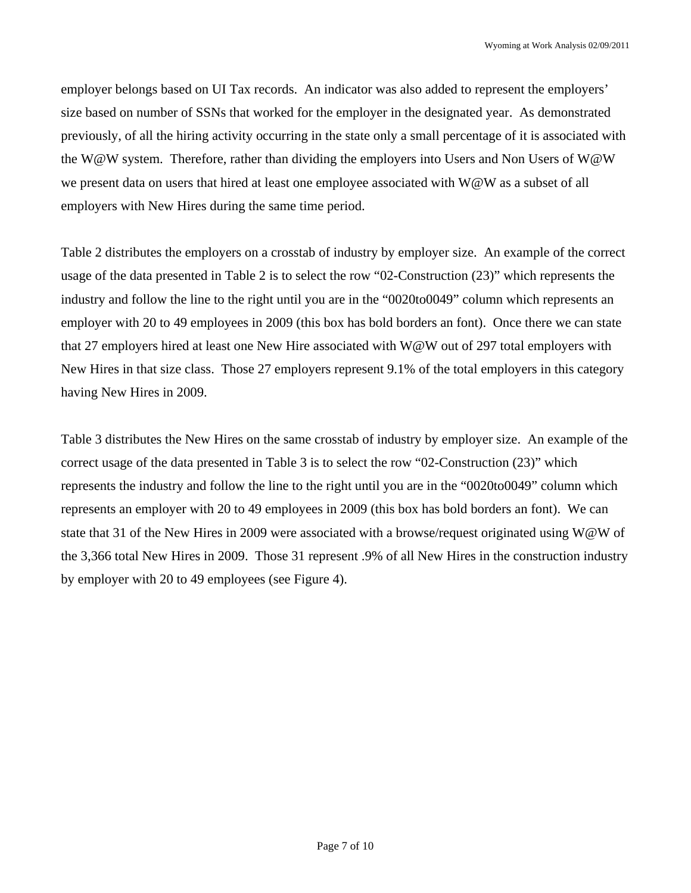employer belongs based on UI Tax records. An indicator was also added to represent the employers' size based on number of SSNs that worked for the employer in the designated year. As demonstrated previously, of all the hiring activity occurring in the state only a small percentage of it is associated with the W@W system. Therefore, rather than dividing the employers into Users and Non Users of W@W we present data on users that hired at least one employee associated with W@W as a subset of all employers with New Hires during the same time period.

Table 2 distributes the employers on a crosstab of industry by employer size. An example of the correct usage of the data presented in Table 2 is to select the row "02-Construction (23)" which represents the industry and follow the line to the right until you are in the "0020to0049" column which represents an employer with 20 to 49 employees in 2009 (this box has bold borders an font). Once there we can state that 27 employers hired at least one New Hire associated with W@W out of 297 total employers with New Hires in that size class. Those 27 employers represent 9.1% of the total employers in this category having New Hires in 2009.

Table 3 distributes the New Hires on the same crosstab of industry by employer size. An example of the correct usage of the data presented in Table 3 is to select the row "02-Construction (23)" which represents the industry and follow the line to the right until you are in the "0020to0049" column which represents an employer with 20 to 49 employees in 2009 (this box has bold borders an font). We can state that 31 of the New Hires in 2009 were associated with a browse/request originated using W@W of the 3,366 total New Hires in 2009. Those 31 represent .9% of all New Hires in the construction industry by employer with 20 to 49 employees (see Figure 4).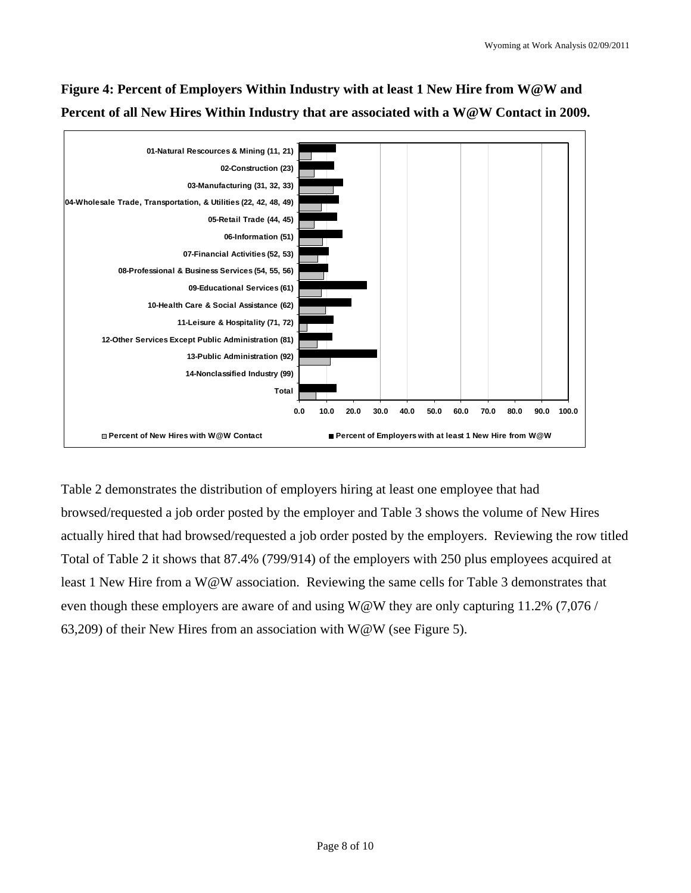

**Figure 4: Percent of Employers Within Industry with at least 1 New Hire from W@W and Percent of all New Hires Within Industry that are associated with a W@W Contact in 2009.** 

Table 2 demonstrates the distribution of employers hiring at least one employee that had browsed/requested a job order posted by the employer and Table 3 shows the volume of New Hires actually hired that had browsed/requested a job order posted by the employers. Reviewing the row titled Total of Table 2 it shows that 87.4% (799/914) of the employers with 250 plus employees acquired at least 1 New Hire from a W@W association. Reviewing the same cells for Table 3 demonstrates that even though these employers are aware of and using W@W they are only capturing 11.2% (7,076 / 63,209) of their New Hires from an association with  $W@W$  (see Figure 5).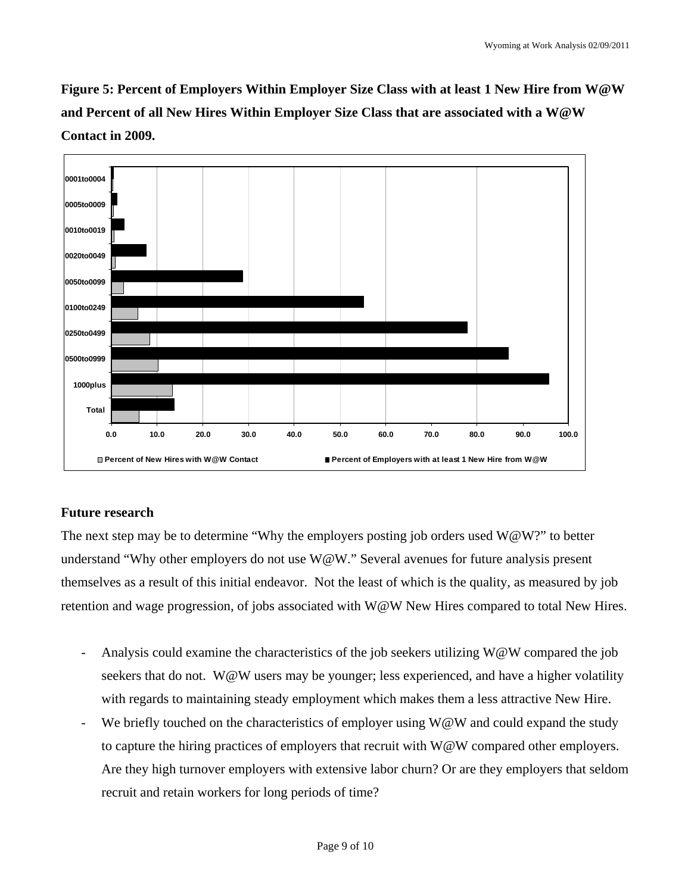**Figure 5: Percent of Employers Within Employer Size Class with at least 1 New Hire from W@W and Percent of all New Hires Within Employer Size Class that are associated with a W@W Contact in 2009.** 



# **Future research**

The next step may be to determine "Why the employers posting job orders used  $W@W$ ?" to better understand "Why other employers do not use W@W." Several avenues for future analysis present themselves as a result of this initial endeavor. Not the least of which is the quality, as measured by job retention and wage progression, of jobs associated with W@W New Hires compared to total New Hires.

- Analysis could examine the characteristics of the job seekers utilizing  $W@W$  compared the job seekers that do not. W@W users may be younger; less experienced, and have a higher volatility with regards to maintaining steady employment which makes them a less attractive New Hire.
- We briefly touched on the characteristics of employer using  $W@W$  and could expand the study to capture the hiring practices of employers that recruit with W@W compared other employers. Are they high turnover employers with extensive labor churn? Or are they employers that seldom recruit and retain workers for long periods of time?